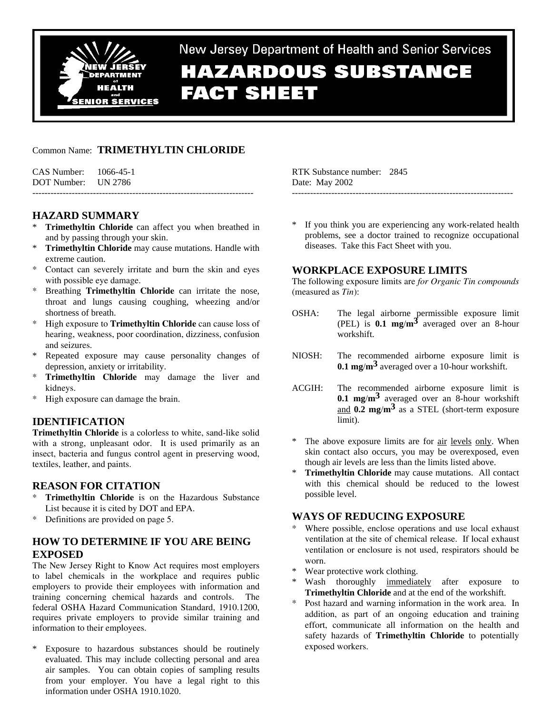

# New Jersey Department of Health and Senior Services **HAZARDOUS SUBSTANCE FACT SHEET**

# Common Name: **TRIMETHYLTIN CHLORIDE**

CAS Number: 1066-45-1 DOT Number: UN 2786 -------------------------------------------------------------------------

# **HAZARD SUMMARY**

- **Trimethyltin Chloride** can affect you when breathed in and by passing through your skin.
- \* **Trimethyltin Chloride** may cause mutations. Handle with extreme caution.
- \* Contact can severely irritate and burn the skin and eyes with possible eye damage.
- Breathing **Trimethyltin Chloride** can irritate the nose, throat and lungs causing coughing, wheezing and/or shortness of breath.
- \* High exposure to **Trimethyltin Chloride** can cause loss of hearing, weakness, poor coordination, dizziness, confusion and seizures.
- Repeated exposure may cause personality changes of depression, anxiety or irritability.
- **Trimethyltin Chloride** may damage the liver and kidneys.
- High exposure can damage the brain.

# **IDENTIFICATION**

**Trimethyltin Chloride** is a colorless to white, sand-like solid with a strong, unpleasant odor. It is used primarily as an insect, bacteria and fungus control agent in preserving wood, textiles, leather, and paints.

## **REASON FOR CITATION**

- \* **Trimethyltin Chloride** is on the Hazardous Substance List because it is cited by DOT and EPA.
- \* Definitions are provided on page 5.

# **HOW TO DETERMINE IF YOU ARE BEING EXPOSED**

The New Jersey Right to Know Act requires most employers to label chemicals in the workplace and requires public employers to provide their employees with information and training concerning chemical hazards and controls. The federal OSHA Hazard Communication Standard, 1910.1200, requires private employers to provide similar training and information to their employees.

\* Exposure to hazardous substances should be routinely evaluated. This may include collecting personal and area air samples. You can obtain copies of sampling results from your employer. You have a legal right to this information under OSHA 1910.1020.

RTK Substance number: 2845 Date: May 2002

If you think you are experiencing any work-related health problems, see a doctor trained to recognize occupational diseases. Take this Fact Sheet with you.

-------------------------------------------------------------------------

## **WORKPLACE EXPOSURE LIMITS**

The following exposure limits are *for Organic Tin compounds* (measured as *Tin*):

- OSHA: The legal airborne permissible exposure limit (PEL) is **0.1 mg**/**m3** averaged over an 8-hour workshift.
- NIOSH: The recommended airborne exposure limit is **0.1 mg**/**m3** averaged over a 10-hour workshift.
- ACGIH: The recommended airborne exposure limit is **0.1 mg**/**m3** averaged over an 8-hour workshift and **0.2 mg**/**m3** as a STEL (short-term exposure limit)
- The above exposure limits are for air levels only. When skin contact also occurs, you may be overexposed, even though air levels are less than the limits listed above.
- \* **Trimethyltin Chloride** may cause mutations. All contact with this chemical should be reduced to the lowest possible level.

## **WAYS OF REDUCING EXPOSURE**

- Where possible, enclose operations and use local exhaust ventilation at the site of chemical release. If local exhaust ventilation or enclosure is not used, respirators should be worn.
- Wear protective work clothing.
- Wash thoroughly immediately after exposure to **Trimethyltin Chloride** and at the end of the workshift.
- Post hazard and warning information in the work area. In addition, as part of an ongoing education and training effort, communicate all information on the health and safety hazards of **Trimethyltin Chloride** to potentially exposed workers.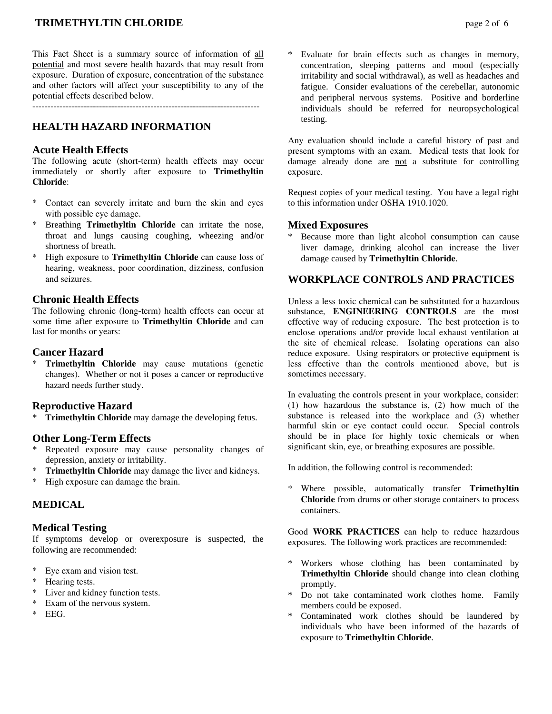# **TRIMETHYLTIN CHLORIDE** page 2 of 6

This Fact Sheet is a summary source of information of all potential and most severe health hazards that may result from exposure. Duration of exposure, concentration of the substance and other factors will affect your susceptibility to any of the potential effects described below.

---------------------------------------------------------------------------

# **HEALTH HAZARD INFORMATION**

#### **Acute Health Effects**

The following acute (short-term) health effects may occur immediately or shortly after exposure to **Trimethyltin Chloride**:

- Contact can severely irritate and burn the skin and eyes with possible eye damage.
- Breathing **Trimethyltin Chloride** can irritate the nose, throat and lungs causing coughing, wheezing and/or shortness of breath.
- \* High exposure to **Trimethyltin Chloride** can cause loss of hearing, weakness, poor coordination, dizziness, confusion and seizures.

#### **Chronic Health Effects**

The following chronic (long-term) health effects can occur at some time after exposure to **Trimethyltin Chloride** and can last for months or years:

## **Cancer Hazard**

**Trimethyltin Chloride** may cause mutations (genetic changes). Whether or not it poses a cancer or reproductive hazard needs further study.

## **Reproductive Hazard**

**Trimethyltin Chloride** may damage the developing fetus.

## **Other Long-Term Effects**

- \* Repeated exposure may cause personality changes of depression, anxiety or irritability.
- **Trimethyltin Chloride** may damage the liver and kidneys.
- \* High exposure can damage the brain.

## **MEDICAL**

## **Medical Testing**

If symptoms develop or overexposure is suspected, the following are recommended:

- \* Eye exam and vision test.
- Hearing tests.
- Liver and kidney function tests.
- Exam of the nervous system.
- \* EEG.

concentration, sleeping patterns and mood (especially irritability and social withdrawal), as well as headaches and fatigue. Consider evaluations of the cerebellar, autonomic and peripheral nervous systems. Positive and borderline individuals should be referred for neuropsychological testing.

Any evaluation should include a careful history of past and present symptoms with an exam. Medical tests that look for damage already done are not a substitute for controlling exposure.

Request copies of your medical testing. You have a legal right to this information under OSHA 1910.1020.

#### **Mixed Exposures**

Because more than light alcohol consumption can cause liver damage, drinking alcohol can increase the liver damage caused by **Trimethyltin Chloride**.

# **WORKPLACE CONTROLS AND PRACTICES**

Unless a less toxic chemical can be substituted for a hazardous substance, **ENGINEERING CONTROLS** are the most effective way of reducing exposure. The best protection is to enclose operations and/or provide local exhaust ventilation at the site of chemical release. Isolating operations can also reduce exposure. Using respirators or protective equipment is less effective than the controls mentioned above, but is sometimes necessary.

In evaluating the controls present in your workplace, consider: (1) how hazardous the substance is, (2) how much of the substance is released into the workplace and (3) whether harmful skin or eye contact could occur. Special controls should be in place for highly toxic chemicals or when significant skin, eye, or breathing exposures are possible.

In addition, the following control is recommended:

\* Where possible, automatically transfer **Trimethyltin Chloride** from drums or other storage containers to process containers.

Good **WORK PRACTICES** can help to reduce hazardous exposures. The following work practices are recommended:

- \* Workers whose clothing has been contaminated by **Trimethyltin Chloride** should change into clean clothing promptly.
- \* Do not take contaminated work clothes home. Family members could be exposed.
- Contaminated work clothes should be laundered by individuals who have been informed of the hazards of exposure to **Trimethyltin Chloride**.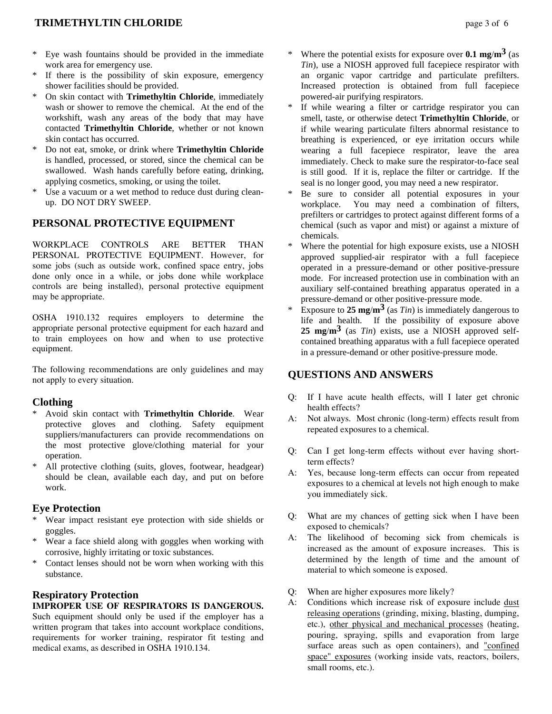- Eye wash fountains should be provided in the immediate work area for emergency use.
- If there is the possibility of skin exposure, emergency shower facilities should be provided.
- \* On skin contact with **Trimethyltin Chloride**, immediately wash or shower to remove the chemical. At the end of the workshift, wash any areas of the body that may have contacted **Trimethyltin Chloride**, whether or not known skin contact has occurred.
- \* Do not eat, smoke, or drink where **Trimethyltin Chloride** is handled, processed, or stored, since the chemical can be swallowed. Wash hands carefully before eating, drinking, applying cosmetics, smoking, or using the toilet.
- \* Use a vacuum or a wet method to reduce dust during cleanup. DO NOT DRY SWEEP.

# **PERSONAL PROTECTIVE EQUIPMENT**

WORKPLACE CONTROLS ARE BETTER THAN PERSONAL PROTECTIVE EQUIPMENT. However, for some jobs (such as outside work, confined space entry, jobs done only once in a while, or jobs done while workplace controls are being installed), personal protective equipment may be appropriate.

OSHA 1910.132 requires employers to determine the appropriate personal protective equipment for each hazard and to train employees on how and when to use protective equipment.

The following recommendations are only guidelines and may not apply to every situation.

## **Clothing**

- \* Avoid skin contact with **Trimethyltin Chloride**. Wear protective gloves and clothing. Safety equipment suppliers/manufacturers can provide recommendations on the most protective glove/clothing material for your operation.
- All protective clothing (suits, gloves, footwear, headgear) should be clean, available each day, and put on before work.

## **Eye Protection**

- \* Wear impact resistant eye protection with side shields or goggles.
- Wear a face shield along with goggles when working with corrosive, highly irritating or toxic substances.
- Contact lenses should not be worn when working with this substance.

# **Respiratory Protection**

#### **IMPROPER USE OF RESPIRATORS IS DANGEROUS.** Such equipment should only be used if the employer has a written program that takes into account workplace conditions, requirements for worker training, respirator fit testing and

medical exams, as described in OSHA 1910.134.

- Where the potential exists for exposure over  $0.1 \text{ mg/m}^3$  (as *Tin*), use a NIOSH approved full facepiece respirator with an organic vapor cartridge and particulate prefilters. Increased protection is obtained from full facepiece powered-air purifying respirators.
- If while wearing a filter or cartridge respirator you can smell, taste, or otherwise detect **Trimethyltin Chloride**, or if while wearing particulate filters abnormal resistance to breathing is experienced, or eye irritation occurs while wearing a full facepiece respirator, leave the area immediately. Check to make sure the respirator-to-face seal is still good. If it is, replace the filter or cartridge. If the seal is no longer good, you may need a new respirator.
- Be sure to consider all potential exposures in your workplace. You may need a combination of filters, prefilters or cartridges to protect against different forms of a chemical (such as vapor and mist) or against a mixture of chemicals.
- Where the potential for high exposure exists, use a NIOSH approved supplied-air respirator with a full facepiece operated in a pressure-demand or other positive-pressure mode. For increased protection use in combination with an auxiliary self-contained breathing apparatus operated in a pressure-demand or other positive-pressure mode.
- Exposure to  $25 \text{ mg/m}^3$  (as *Tin*) is immediately dangerous to life and health. If the possibility of exposure above **25 mg**/**m3** (as *Tin*) exists, use a NIOSH approved selfcontained breathing apparatus with a full facepiece operated in a pressure-demand or other positive-pressure mode.

## **QUESTIONS AND ANSWERS**

- Q: If I have acute health effects, will I later get chronic health effects?
- A: Not always. Most chronic (long-term) effects result from repeated exposures to a chemical.
- Q: Can I get long-term effects without ever having shortterm effects?
- A: Yes, because long-term effects can occur from repeated exposures to a chemical at levels not high enough to make you immediately sick.
- Q: What are my chances of getting sick when I have been exposed to chemicals?
- A: The likelihood of becoming sick from chemicals is increased as the amount of exposure increases. This is determined by the length of time and the amount of material to which someone is exposed.
- Q: When are higher exposures more likely?
- A: Conditions which increase risk of exposure include dust releasing operations (grinding, mixing, blasting, dumping, etc.), other physical and mechanical processes (heating, pouring, spraying, spills and evaporation from large surface areas such as open containers), and "confined space" exposures (working inside vats, reactors, boilers, small rooms, etc.).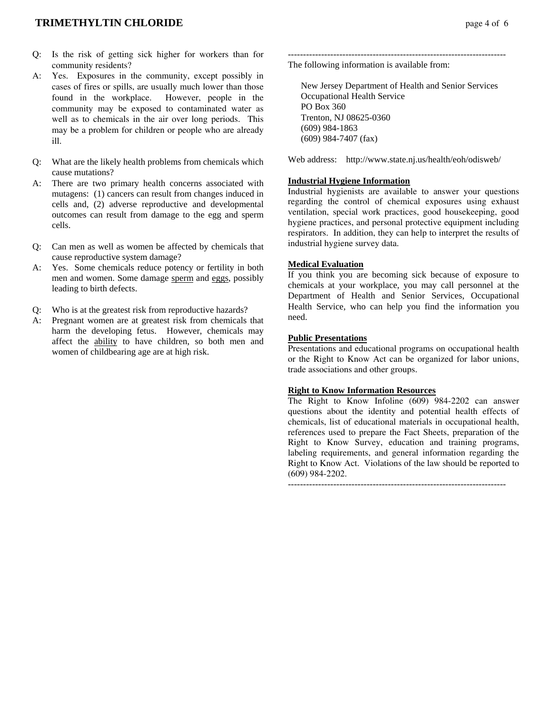- Q: Is the risk of getting sick higher for workers than for community residents?
- A: Yes. Exposures in the community, except possibly in cases of fires or spills, are usually much lower than those found in the workplace. However, people in the community may be exposed to contaminated water as well as to chemicals in the air over long periods. This may be a problem for children or people who are already ill.
- Q: What are the likely health problems from chemicals which cause mutations?
- A: There are two primary health concerns associated with mutagens: (1) cancers can result from changes induced in cells and, (2) adverse reproductive and developmental outcomes can result from damage to the egg and sperm cells.
- Q: Can men as well as women be affected by chemicals that cause reproductive system damage?
- A: Yes. Some chemicals reduce potency or fertility in both men and women. Some damage sperm and eggs, possibly leading to birth defects.
- Q: Who is at the greatest risk from reproductive hazards?
- A: Pregnant women are at greatest risk from chemicals that harm the developing fetus. However, chemicals may affect the ability to have children, so both men and women of childbearing age are at high risk.

------------------------------------------------------------------------ The following information is available from:

 New Jersey Department of Health and Senior Services Occupational Health Service PO Box 360 Trenton, NJ 08625-0360 (609) 984-1863 (609) 984-7407 (fax)

Web address: http://www.state.nj.us/health/eoh/odisweb/

# **Industrial Hygiene Information**

Industrial hygienists are available to answer your questions regarding the control of chemical exposures using exhaust ventilation, special work practices, good housekeeping, good hygiene practices, and personal protective equipment including respirators. In addition, they can help to interpret the results of industrial hygiene survey data.

#### **Medical Evaluation**

If you think you are becoming sick because of exposure to chemicals at your workplace, you may call personnel at the Department of Health and Senior Services, Occupational Health Service, who can help you find the information you need.

#### **Public Presentations**

Presentations and educational programs on occupational health or the Right to Know Act can be organized for labor unions, trade associations and other groups.

## **Right to Know Information Resources**

The Right to Know Infoline (609) 984-2202 can answer questions about the identity and potential health effects of chemicals, list of educational materials in occupational health, references used to prepare the Fact Sheets, preparation of the Right to Know Survey, education and training programs, labeling requirements, and general information regarding the Right to Know Act. Violations of the law should be reported to (609) 984-2202.

------------------------------------------------------------------------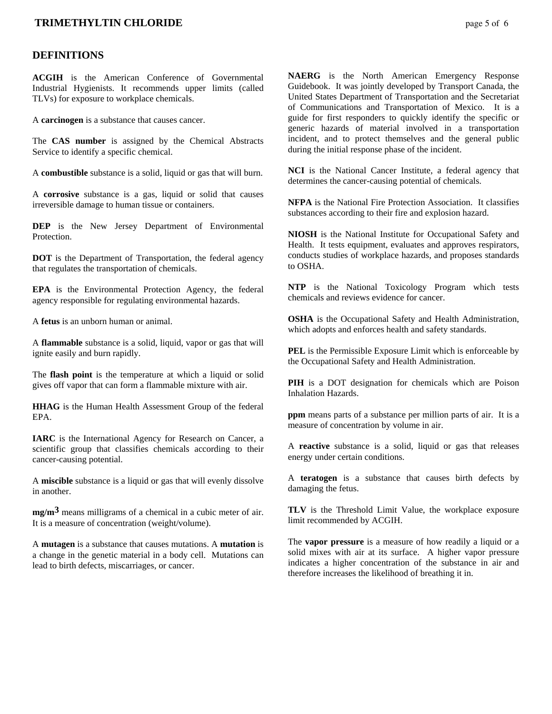## **TRIMETHYLTIN CHLORIDE page 5 of 6**

#### **DEFINITIONS**

**ACGIH** is the American Conference of Governmental Industrial Hygienists. It recommends upper limits (called TLVs) for exposure to workplace chemicals.

A **carcinogen** is a substance that causes cancer.

The **CAS number** is assigned by the Chemical Abstracts Service to identify a specific chemical.

A **combustible** substance is a solid, liquid or gas that will burn.

A **corrosive** substance is a gas, liquid or solid that causes irreversible damage to human tissue or containers.

**DEP** is the New Jersey Department of Environmental **Protection** 

**DOT** is the Department of Transportation, the federal agency that regulates the transportation of chemicals.

**EPA** is the Environmental Protection Agency, the federal agency responsible for regulating environmental hazards.

A **fetus** is an unborn human or animal.

A **flammable** substance is a solid, liquid, vapor or gas that will ignite easily and burn rapidly.

The **flash point** is the temperature at which a liquid or solid gives off vapor that can form a flammable mixture with air.

**HHAG** is the Human Health Assessment Group of the federal EPA.

**IARC** is the International Agency for Research on Cancer, a scientific group that classifies chemicals according to their cancer-causing potential.

A **miscible** substance is a liquid or gas that will evenly dissolve in another.

**mg/m3** means milligrams of a chemical in a cubic meter of air. It is a measure of concentration (weight/volume).

A **mutagen** is a substance that causes mutations. A **mutation** is a change in the genetic material in a body cell. Mutations can lead to birth defects, miscarriages, or cancer.

**NAERG** is the North American Emergency Response Guidebook. It was jointly developed by Transport Canada, the United States Department of Transportation and the Secretariat of Communications and Transportation of Mexico. It is a guide for first responders to quickly identify the specific or generic hazards of material involved in a transportation incident, and to protect themselves and the general public during the initial response phase of the incident.

**NCI** is the National Cancer Institute, a federal agency that determines the cancer-causing potential of chemicals.

**NFPA** is the National Fire Protection Association. It classifies substances according to their fire and explosion hazard.

**NIOSH** is the National Institute for Occupational Safety and Health. It tests equipment, evaluates and approves respirators, conducts studies of workplace hazards, and proposes standards to OSHA.

**NTP** is the National Toxicology Program which tests chemicals and reviews evidence for cancer.

**OSHA** is the Occupational Safety and Health Administration, which adopts and enforces health and safety standards.

**PEL** is the Permissible Exposure Limit which is enforceable by the Occupational Safety and Health Administration.

**PIH** is a DOT designation for chemicals which are Poison Inhalation Hazards.

**ppm** means parts of a substance per million parts of air. It is a measure of concentration by volume in air.

A **reactive** substance is a solid, liquid or gas that releases energy under certain conditions.

A **teratogen** is a substance that causes birth defects by damaging the fetus.

**TLV** is the Threshold Limit Value, the workplace exposure limit recommended by ACGIH.

The **vapor pressure** is a measure of how readily a liquid or a solid mixes with air at its surface. A higher vapor pressure indicates a higher concentration of the substance in air and therefore increases the likelihood of breathing it in.